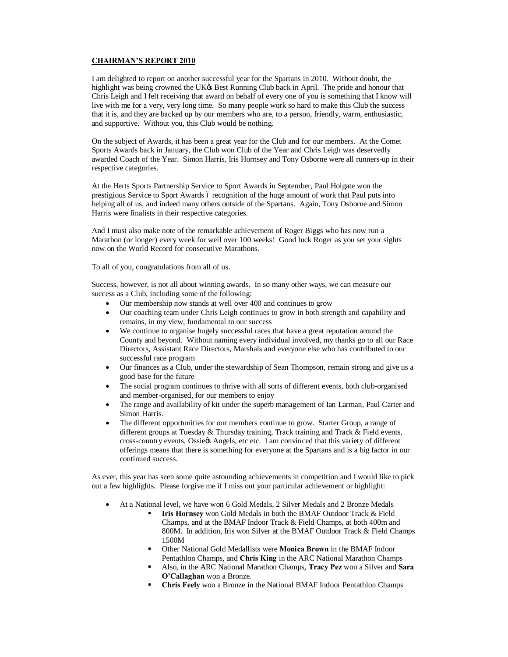## **CHAIRMAN'S REPORT 2010**

I am delighted to report on another successful year for the Spartans in 2010. Without doubt, the highlight was being crowned the UK& Best Running Club back in April. The pride and honour that Chris Leigh and I felt receiving that award on behalf of every one of you is something that I know will live with me for a very, very long time. So many people work so hard to make this Club the success that it is, and they are backed up by our members who are, to a person, friendly, warm, enthusiastic, and supportive. Without you, this Club would be nothing.

On the subject of Awards, it has been a great year for the Club and for our members. At the Comet Sports Awards back in January, the Club won Club of the Year and Chris Leigh was deservedly awarded Coach of the Year. Simon Harris, Iris Hornsey and Tony Osborne were all runners-up in their respective categories.

At the Herts Sports Partnership Service to Sport Awards in September, Paul Holgate won the prestigious Service to Sport Awards 6 recognition of the huge amount of work that Paul puts into helping all of us, and indeed many others outside of the Spartans. Again, Tony Osborne and Simon Harris were finalists in their respective categories.

And I must also make note of the remarkable achievement of Roger Biggs who has now run a Marathon (or longer) every week for well over 100 weeks! Good luck Roger as you set your sights now on the World Record for consecutive Marathons.

To all of you, congratulations from all of us.

Success, however, is not all about winning awards. In so many other ways, we can measure our success as a Club, including some of the following:

- Our membership now stands at well over 400 and continues to grow
- · Our coaching team under Chris Leigh continues to grow in both strength and capability and remains, in my view, fundamental to our success
- We continue to organise hugely successful races that have a great reputation around the County and beyond. Without naming every individual involved, my thanks go to all our Race Directors, Assistant Race Directors, Marshals and everyone else who has contributed to our successful race program
- · Our finances as a Club, under the stewardship of Sean Thompson, remain strong and give us a good base for the future
- The social program continues to thrive with all sorts of different events, both club-organised and member-organised, for our members to enjoy
- · The range and availability of kit under the superb management of Ian Larman, Paul Carter and Simon Harris.
- The different opportunities for our members continue to grow. Starter Group, a range of different groups at Tuesday & Thursday training, Track training and Track & Field events, cross-country events, Ossie's Angels, etc etc. I am convinced that this variety of different offerings means that there is something for everyone at the Spartans and is a big factor in our continued success.

As ever, this year has seen some quite astounding achievements in competition and I would like to pick out a few highlights. Please forgive me if I miss out your particular achievement or highlight:

- At a National level, we have won 6 Gold Medals, 2 Silver Medals and 2 Bronze Medals
	- ß **Iris Hornsey** won Gold Medals in both the BMAF Outdoor Track & Field Champs, and at the BMAF Indoor Track & Field Champs, at both 400m and 800M. In addition, Iris won Silver at the BMAF Outdoor Track & Field Champs 1500M
	- ß Other National Gold Medallists were **Monica Brown** in the BMAF Indoor Pentathlon Champs, and **Chris King** in the ARC National Marathon Champs
	- ß Also, in the ARC National Marathon Champs, **Tracy Pez** won a Silver and **Sara O'Callaghan** won a Bronze.
	- ß **Chris Feely** won a Bronze in the National BMAF Indoor Pentathlon Champs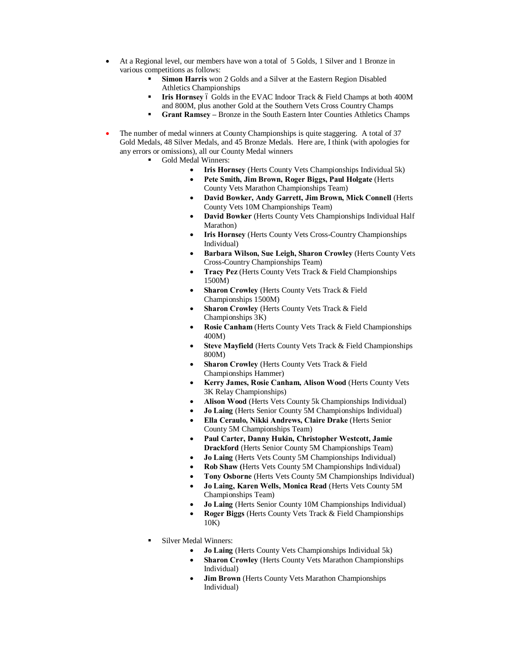- · At a Regional level, our members have won a total of 5 Golds, 1 Silver and 1 Bronze in various competitions as follows:
	- ß **Simon Harris** won 2 Golds and a Silver at the Eastern Region Disabled Athletics Championships
	- **Iris Hornsey** 6 Golds in the EVAC Indoor Track & Field Champs at both 400M and 800M, plus another Gold at the Southern Vets Cross Country Champs
	- ß **Grant Ramsey –** Bronze in the South Eastern Inter Counties Athletics Champs
- The number of medal winners at County Championships is quite staggering. A total of 37 Gold Medals, 48 Silver Medals, and 45 Bronze Medals. Here are, I think (with apologies for any errors or omissions), all our County Medal winners
	- Gold Medal Winners:
		- · **Iris Hornsey** (Herts County Vets Championships Individual 5k)
		- · **Pete Smith, Jim Brown, Roger Biggs, Paul Holgate** (Herts County Vets Marathon Championships Team)
		- · **David Bowker, Andy Garrett, Jim Brown, Mick Connell** (Herts County Vets 10M Championships Team)
		- · **David Bowker** (Herts County Vets Championships Individual Half Marathon)
		- **Iris Hornsey** (Herts County Vets Cross-Country Championships) Individual)
		- · **Barbara Wilson, Sue Leigh, Sharon Crowley** (Herts County Vets Cross-Country Championships Team)
		- · **Tracy Pez** (Herts County Vets Track & Field Championships 1500M)
		- **Sharon Crowley** (Herts County Vets Track & Field Championships 1500M)
		- **Sharon Crowley** (Herts County Vets Track & Field Championships 3K)
		- **Rosie Canham** (Herts County Vets Track & Field Championships 400M)
		- Steve Mayfield (Herts County Vets Track & Field Championships 800M)
		- **Sharon Crowley** (Herts County Vets Track & Field Championships Hammer)
		- · **Kerry James, Rosie Canham, Alison Wood** (Herts County Vets 3K Relay Championships)
		- Alison Wood (Herts Vets County 5k Championships Individual)
		- **Jo Laing** (Herts Senior County 5M Championships Individual)
		- · **Ella Ceraulo, Nikki Andrews, Claire Drake** (Herts Senior County 5M Championships Team)
		- · **Paul Carter, Danny Hukin, Christopher Westcott, Jamie Drackford** (Herts Senior County 5M Championships Team)
		- **Jo Laing** (Herts Vets County 5M Championships Individual)
		- · **Rob Shaw (**Herts Vets County 5M Championships Individual)
		- · **Tony Osborne** (Herts Vets County 5M Championships Individual)
		- · **Jo Laing, Karen Wells, Monica Read** (Herts Vets County 5M Championships Team)
		- · **Jo Laing** (Herts Senior County 10M Championships Individual)
		- **Roger Biggs** (Herts County Vets Track & Field Championships 10K)
		- ß Silver Medal Winners:
			- **Jo Laing** (Herts County Vets Championships Individual 5k)
			- **Sharon Crowley** (Herts County Vets Marathon Championships Individual)
			- **Jim Brown** (Herts County Vets Marathon Championships Individual)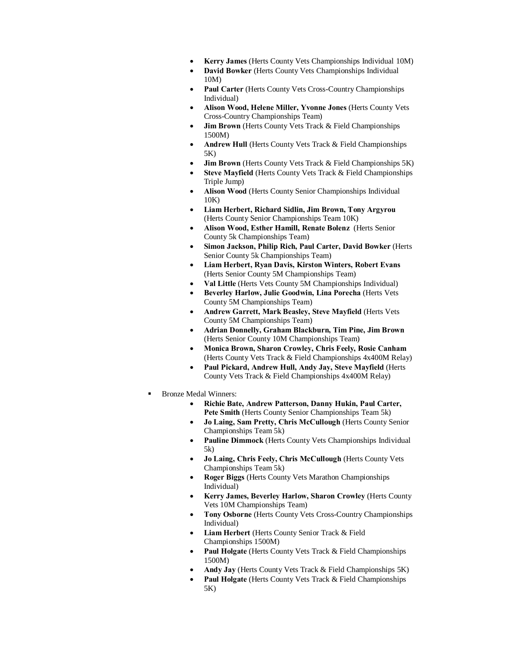- · **Kerry James** (Herts County Vets Championships Individual 10M)
- **David Bowker** (Herts County Vets Championships Individual 10M)
- Paul Carter (Herts County Vets Cross-Country Championships Individual)
- · **Alison Wood, Helene Miller, Yvonne Jones** (Herts County Vets Cross-Country Championships Team)
- **Jim Brown** (Herts County Vets Track & Field Championships 1500M)
- Andrew Hull (Herts County Vets Track & Field Championships 5K)
- **Jim Brown** (Herts County Vets Track & Field Championships 5K)
- Steve Mayfield (Herts County Vets Track & Field Championships Triple Jump)
- Alison Wood (Herts County Senior Championships Individual 10K)
- · **Liam Herbert, Richard Sidlin, Jim Brown, Tony Argyrou** (Herts County Senior Championships Team 10K)
- · **Alison Wood, Esther Hamill, Renate Bolenz** (Herts Senior County 5k Championships Team)
- · **Simon Jackson, Philip Rich, Paul Carter, David Bowker** (Herts Senior County 5k Championships Team)
- · **Liam Herbert, Ryan Davis, Kirston Winters, Robert Evans** (Herts Senior County 5M Championships Team)
- Val Little (Herts Vets County 5M Championships Individual)
- Beverley Harlow, Julie Goodwin, Lina Porecha (Herts Vets County 5M Championships Team)
- · **Andrew Garrett, Mark Beasley, Steve Mayfield** (Herts Vets County 5M Championships Team)
- · **Adrian Donnelly, Graham Blackburn, Tim Pine, Jim Brown** (Herts Senior County 10M Championships Team)
- · **Monica Brown, Sharon Crowley, Chris Feely, Rosie Canham** (Herts County Vets Track & Field Championships 4x400M Relay)
- · **Paul Pickard, Andrew Hull, Andy Jay, Steve Mayfield** (Herts County Vets Track & Field Championships 4x400M Relay)
- ß Bronze Medal Winners:
	- · **Richie Bate, Andrew Patterson, Danny Hukin, Paul Carter, Pete Smith** (Herts County Senior Championships Team 5k)
	- · **Jo Laing, Sam Pretty, Chris McCullough** (Herts County Senior Championships Team 5k)
	- Pauline Dimmock (Herts County Vets Championships Individual 5k)
	- · **Jo Laing, Chris Feely, Chris McCullough** (Herts County Vets Championships Team 5k)
	- · **Roger Biggs** (Herts County Vets Marathon Championships Individual)
	- · **Kerry James, Beverley Harlow, Sharon Crowley** (Herts County Vets 10M Championships Team)
	- · **Tony Osborne** (Herts County Vets Cross-Country Championships Individual)
	- **Liam Herbert** (Herts County Senior Track & Field Championships 1500M)
	- Paul Holgate (Herts County Vets Track & Field Championships 1500M)
	- · **Andy Jay** (Herts County Vets Track & Field Championships 5K)
	- Paul Holgate (Herts County Vets Track & Field Championships 5K)